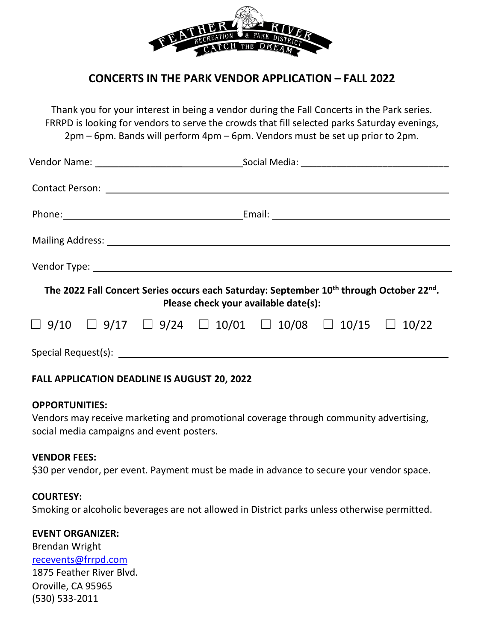

# **CONCERTS IN THE PARK VENDOR APPLICATION – FALL 2022**

Thank you for your interest in being a vendor during the Fall Concerts in the Park series. FRRPD is looking for vendors to serve the crowds that fill selected parks Saturday evenings, 2pm – 6pm. Bands will perform 4pm – 6pm. Vendors must be set up prior to 2pm.

| The 2022 Fall Concert Series occurs each Saturday: September 10 <sup>th</sup> through October 22 <sup>nd</sup> .<br>Please check your available date(s): |  |  |  |                                                                                         |  |  |  |
|----------------------------------------------------------------------------------------------------------------------------------------------------------|--|--|--|-----------------------------------------------------------------------------------------|--|--|--|
|                                                                                                                                                          |  |  |  | $\Box$ 9/10 $\Box$ 9/17 $\Box$ 9/24 $\Box$ 10/01 $\Box$ 10/08 $\Box$ 10/15 $\Box$ 10/22 |  |  |  |
|                                                                                                                                                          |  |  |  |                                                                                         |  |  |  |

# **FALL APPLICATION DEADLINE IS AUGUST 20, 2022**

## **OPPORTUNITIES:**

Vendors may receive marketing and promotional coverage through community advertising, social media campaigns and event posters.

#### **VENDOR FEES:**

\$30 per vendor, per event. Payment must be made in advance to secure your vendor space.

## **COURTESY:**

Smoking or alcoholic beverages are not allowed in District parks unless otherwise permitted.

#### **EVENT ORGANIZER:**

Brendan Wright [recevents@frrpd.com](mailto:recevents@frrpd.com) 1875 Feather River Blvd. Oroville, CA 95965 (530) 533-2011